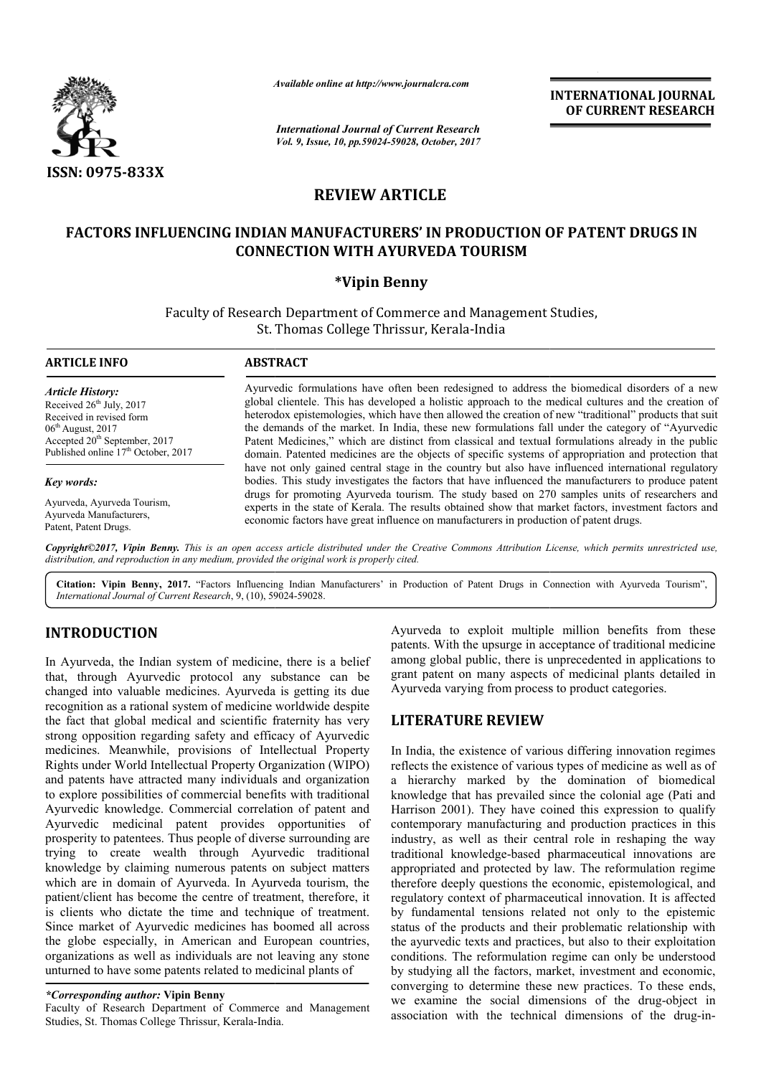

*Available online at http://www.journal http://www.journalcra.com*

*International Journal of Current Research Vol. 9, Issue, 10, pp.59024-59028, October, 2017* **INTERNATIONAL JOURNAL OF CURRENT RESEARCH** 

# **REVIEW ARTICLE**

# **FACTORS INFLUENCING INDIAN MANUFACTURERS' IN PRODUCTION OF PATENT DRUGS IN FACTORS INFLUENCING INDIAN MANUFACTURERS' CONNECTION WITH AYURVEDA TOURISM**

# **\*Vipin Benny**

Faculty of Research Department of Commerce and Management Studies, St. Thomas College Thrissur, Kerala-India

## **ARTICLE INFO ABSTRACT**

*Article History:* Received 26<sup>th</sup> July, 2017 Received in revised form  $06<sup>th</sup>$  August, 2017 Accepted 20<sup>th</sup> September, 2017 Published online 17<sup>th</sup> October, 2017

*Key words:*

Ayurveda, Ayurveda Tourism, Ayurveda Manufacturers, Patent, Patent Drugs.

Ayurvedic formulations have often been redesigned to address the biomedical disorders of a new Ayurvedic formulations have often been redesigned to address the biomedical disorders of a new global clientele. This has developed a holistic approach to the medical cultures and the creation of heterodox epistemologies, which have then allowed the creation of new "traditional" products that suit the demands of the market. In India, these new formulations fall under the category of "Ayurvedic Patent Medicines," which are distinct from classical and textual formulations already in the public domain. Patented medicines are the objects of specific systems of appropriation and protection that heterodox epistemologies, which have then allowed the creation of new "traditional" products that suit the demands of the market. In India, these new formulations fall under the category of "Ayurvedic Patent Medicines," wh bodies. This study investigates the factors that have influenced the manufacturers to produce patent drugs for promoting Ayurveda tourism. The study based on 270 samples units of researchers and experts in the state of Kerala. The results obtained show that market factors, investment factors and bodies. This study investigates the factors that have influenced the manufacturers to drugs for promoting Ayurveda tourism. The study based on 270 samples units of experts in the state of Kerala. The results obtained show

*Copyright©2017, Vipin Benny. This is an open access article distributed under the Creative Commons Att Attribution License, which ribution permits unrestricted use, distribution, and reproduction in any medium, provided the original work is properly cited.*

Citation: Vipin Benny, 2017. "Factors Influencing Indian Manufacturers' in Production of Patent Drugs in Connection with Ayurveda Tourism", International Journal of Current Research, 9, (10), 59024-59028.

# **INTRODUCTION**

In Ayurveda, the Indian system of medicine, there is a belief that, through Ayurvedic protocol any substance can be changed into valuable medicines. Ayurveda is getting its due recognition as a rational system of medicine worldwide despite the fact that global medical and scientific fraternity has very strong opposition regarding safety and efficacy of Ayurvedic medicines. Meanwhile, provisions of Intellectual Property Rights under World Intellectual Property Organization (WIPO) and patents have attracted many individuals and organization to explore possibilities of commercial benefits with traditional Ayurvedic knowledge. Commercial correlation of patent and Ayurvedic medicinal patent provides opportunities of prosperity to patentees. Thus people of diverse surrounding are trying to create wealth through Ayurvedic traditional knowledge by claiming numerous patents on subject matters which are in domain of Ayurveda. In Ayurveda tourism, the patient/client has become the centre of treatment, therefore, it is clients who dictate the time and technique of treatment. Since market of Ayurvedic medicines has boomed all across the globe especially, in American and European countries, organizations as well as individuals are not leaving any stone unturned to have some patents related to medicinal plants of

### *\*Corresponding author:* **Vipin Benny**

Faculty of Research Department of Commerce and Management Studies, St. Thomas College Thrissur, Kerala-India.

patents. With the upsurge in acceptance of traditional medicine among global public, there is unprecedented in applications to grant patent on many aspects of medicinal plants detailed in Ayurveda varying from process to product categories. exploit multiple million benefits from these<br>the upsurge in acceptance of traditional medicine<br>public, there is unprecedented in applications to

# **LITERATURE REVIEW**

Anywed to exploit multiple million benefits from these payaretes and exploit multiple million benefits from the symparetes produced any substance and be grant patterns in applications to under metals and particle proposed In India, the existence of various differing innovation regimes reflects the existence of various types of medicine as well as of a hierarchy marked by the domination of biomedical knowledge that has prevailed since the colonial age (Pati and Harrison 2001). They have coined this expression to qualify contemporary manufacturing and production p industry, as well as their central role in reshaping the way traditional knowledge-based pharmaceutical innovations are appropriated and protected by law. The reformulation regime industry, as well as their central role in reshaping the way traditional knowledge-based pharmaceutical innovations are appropriated and protected by law. The reformulation regime therefore deeply questions the economic, e regulatory context of pharmaceutical innovation. It is affected by fundamental tensions related not only to the epistemic status of the products and their problematic relationship with the ayurvedic texts and practices, but also to their exploitation conditions. The reformulation regime can only be understood by studying all the factors, market, investment and economic, converging to determine these new practices. To these ends, we examine the social dimensions of the drug-object in association with the technical dimensions of the drug-inpatent patent on many aspects of medicinal plants detailed in<br>Ayurveda varying from process to product categories.<br> **LITERATURE REVIEW**<br>
In India, the existence of various differing innovation regimes<br>
reflects the existen regulatory context of pharmaceutical innovation. It is affected by fundamental tensions related not only to the epistemic status of the products and practices, but also to their exploitation conditions. The reformulation r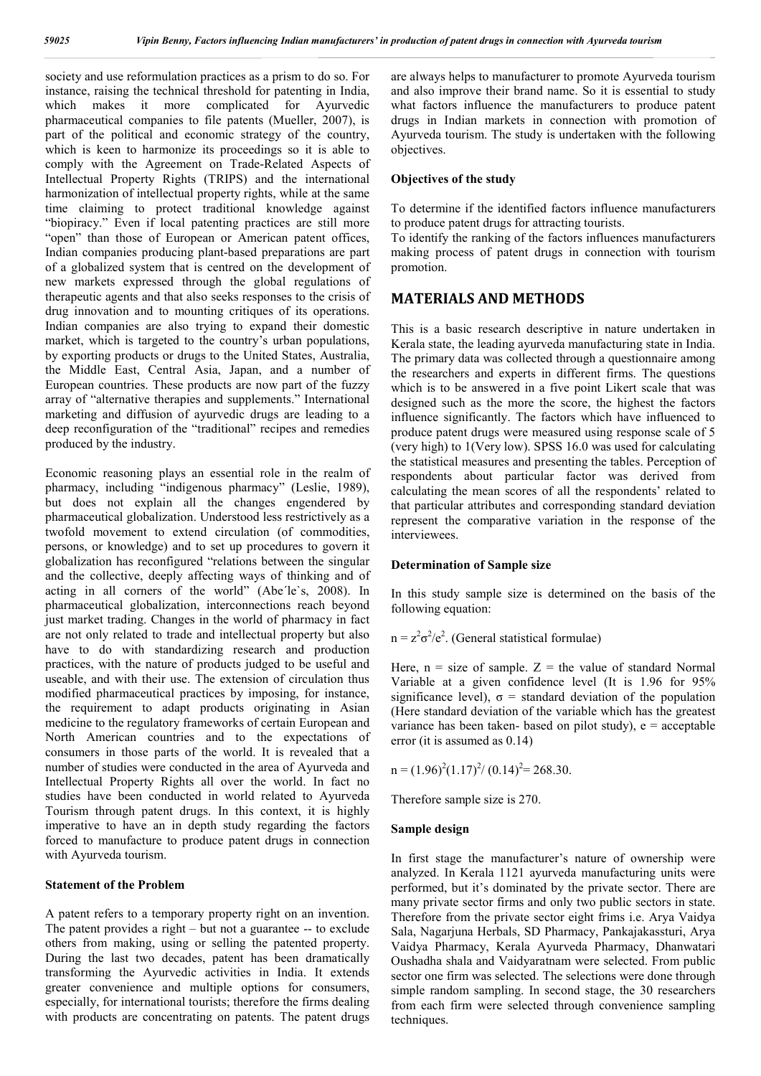society and use reformulation practices as a prism to do so. For instance, raising the technical threshold for patenting in India, which makes it more complicated for Ayurvedic pharmaceutical companies to file patents (Mueller, 2007), is part of the political and economic strategy of the country, which is keen to harmonize its proceedings so it is able to comply with the Agreement on Trade-Related Aspects of Intellectual Property Rights (TRIPS) and the international harmonization of intellectual property rights, while at the same time claiming to protect traditional knowledge against "biopiracy." Even if local patenting practices are still more "open" than those of European or American patent offices, Indian companies producing plant-based preparations are part of a globalized system that is centred on the development of new markets expressed through the global regulations of therapeutic agents and that also seeks responses to the crisis of drug innovation and to mounting critiques of its operations. Indian companies are also trying to expand their domestic market, which is targeted to the country's urban populations, by exporting products or drugs to the United States, Australia, the Middle East, Central Asia, Japan, and a number of European countries. These products are now part of the fuzzy array of "alternative therapies and supplements." International marketing and diffusion of ayurvedic drugs are leading to a deep reconfiguration of the "traditional" recipes and remedies produced by the industry.

Economic reasoning plays an essential role in the realm of pharmacy, including "indigenous pharmacy" (Leslie, 1989), but does not explain all the changes engendered by pharmaceutical globalization. Understood less restrictively as a twofold movement to extend circulation (of commodities, persons, or knowledge) and to set up procedures to govern it globalization has reconfigured "relations between the singular and the collective, deeply affecting ways of thinking and of acting in all corners of the world" (Abe´le`s, 2008). In pharmaceutical globalization, interconnections reach beyond just market trading. Changes in the world of pharmacy in fact are not only related to trade and intellectual property but also have to do with standardizing research and production practices, with the nature of products judged to be useful and useable, and with their use. The extension of circulation thus modified pharmaceutical practices by imposing, for instance, the requirement to adapt products originating in Asian medicine to the regulatory frameworks of certain European and North American countries and to the expectations of consumers in those parts of the world. It is revealed that a number of studies were conducted in the area of Ayurveda and Intellectual Property Rights all over the world. In fact no studies have been conducted in world related to Ayurveda Tourism through patent drugs. In this context, it is highly imperative to have an in depth study regarding the factors forced to manufacture to produce patent drugs in connection with Ayurveda tourism.

#### **Statement of the Problem**

A patent refers to a temporary property right on an invention. The patent provides a right – but not a guarantee -- to exclude others from making, using or selling the patented property. During the last two decades, patent has been dramatically transforming the Ayurvedic activities in India. It extends greater convenience and multiple options for consumers, especially, for international tourists; therefore the firms dealing with products are concentrating on patents. The patent drugs

are always helps to manufacturer to promote Ayurveda tourism and also improve their brand name. So it is essential to study what factors influence the manufacturers to produce patent drugs in Indian markets in connection with promotion of Ayurveda tourism. The study is undertaken with the following objectives.

## **Objectives of the study**

To determine if the identified factors influence manufacturers to produce patent drugs for attracting tourists.

To identify the ranking of the factors influences manufacturers making process of patent drugs in connection with tourism promotion.

## **MATERIALS AND METHODS**

This is a basic research descriptive in nature undertaken in Kerala state, the leading ayurveda manufacturing state in India. The primary data was collected through a questionnaire among the researchers and experts in different firms. The questions which is to be answered in a five point Likert scale that was designed such as the more the score, the highest the factors influence significantly. The factors which have influenced to produce patent drugs were measured using response scale of 5 (very high) to 1(Very low). SPSS 16.0 was used for calculating the statistical measures and presenting the tables. Perception of respondents about particular factor was derived from calculating the mean scores of all the respondents' related to that particular attributes and corresponding standard deviation represent the comparative variation in the response of the interviewees.

#### **Determination of Sample size**

In this study sample size is determined on the basis of the following equation:

 $n = z^2 \sigma^2/e^2$ . (General statistical formulae)

Here,  $n = size$  of sample.  $Z = the$  value of standard Normal Variable at a given confidence level (It is 1.96 for 95% significance level),  $\sigma$  = standard deviation of the population (Here standard deviation of the variable which has the greatest variance has been taken- based on pilot study),  $e =$  acceptable error (it is assumed as 0.14)

 $n = (1.96)^{2}(1.17)^{2}/(0.14)^{2} = 268.30.$ 

Therefore sample size is 270.

#### **Sample design**

In first stage the manufacturer's nature of ownership were analyzed. In Kerala 1121 ayurveda manufacturing units were performed, but it's dominated by the private sector. There are many private sector firms and only two public sectors in state. Therefore from the private sector eight frims i.e. Arya Vaidya Sala, Nagarjuna Herbals, SD Pharmacy, Pankajakassturi, Arya Vaidya Pharmacy, Kerala Ayurveda Pharmacy, Dhanwatari Oushadha shala and Vaidyaratnam were selected. From public sector one firm was selected. The selections were done through simple random sampling. In second stage, the 30 researchers from each firm were selected through convenience sampling techniques.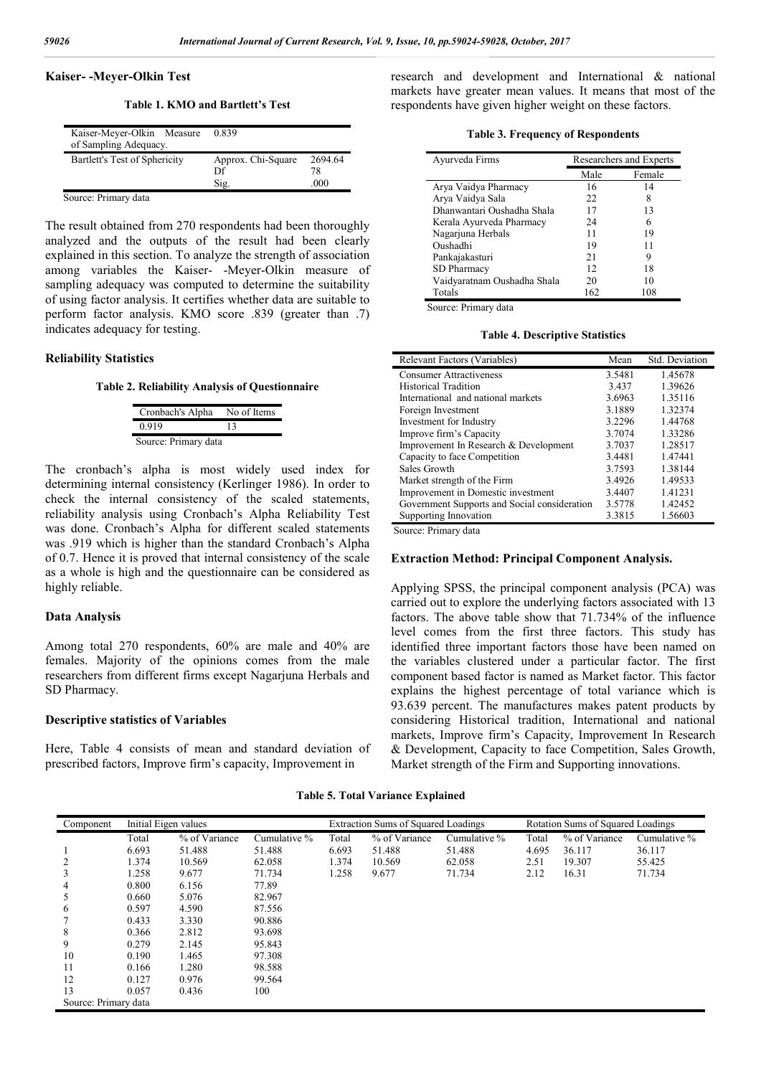#### **Kaiser- -Meyer-Olkin Test**

**Table 1. KMO and Bartlett's Test**

| Kaiser-Meyer-Olkin Measure<br>of Sampling Adequacy. | 0.839                            |                       |
|-----------------------------------------------------|----------------------------------|-----------------------|
| Bartlett's Test of Sphericity                       | Approx. Chi-Square<br>Df<br>Sig. | 2694.64<br>78<br>.000 |

Source: Primary data

The result obtained from 270 respondents had been thoroughly analyzed and the outputs of the result had been clearly explained in this section. To analyze the strength of association among variables the Kaiser- -Meyer-Olkin measure of sampling adequacy was computed to determine the suitability of using factor analysis. It certifies whether data are suitable to perform factor analysis. KMO score .839 (greater than .7) indicates adequacy for testing.

#### **Reliability Statistics**

**Table 2. Reliability Analysis of Questionnaire**

| Cronbach's Alpha     | No of Items |
|----------------------|-------------|
| 0.919                | 13          |
| Source: Primary data |             |

The cronbach's alpha is most widely used index for determining internal consistency (Kerlinger 1986). In order to check the internal consistency of the scaled statements, reliability analysis using Cronbach's Alpha Reliability Test was done. Cronbach's Alpha for different scaled statements was .919 which is higher than the standard Cronbach's Alpha of 0.7. Hence it is proved that internal consistency of the scale as a whole is high and the questionnaire can be considered as highly reliable.

#### **Data Analysis**

Among total 270 respondents, 60% are male and 40% are females. Majority of the opinions comes from the male researchers from different firms except Nagarjuna Herbals and SD Pharmacy.

#### **Descriptive statistics of Variables**

Here, Table 4 consists of mean and standard deviation of prescribed factors, Improve firm's capacity, Improvement in

research and development and International & national markets have greater mean values. It means that most of the respondents have given higher weight on these factors.

|  | <b>Table 3. Frequency of Respondents</b> |  |  |
|--|------------------------------------------|--|--|
|--|------------------------------------------|--|--|

| Ayurveda Firms              | Researchers and Experts |     |  |
|-----------------------------|-------------------------|-----|--|
|                             | Male<br>Female          |     |  |
| Arya Vaidya Pharmacy        | 16                      | 14  |  |
| Arya Vaidya Sala            | 22                      | 8   |  |
| Dhanwantari Oushadha Shala  | 17                      | 13  |  |
| Kerala Ayurveda Pharmacy    | 24                      |     |  |
| Nagarjuna Herbals           | 11                      | 19  |  |
| Oushadhi                    | 19                      | 11  |  |
| Pankajakasturi              | 21                      | 9   |  |
| SD Pharmacy                 | 12                      | 18  |  |
| Vaidyaratnam Oushadha Shala | 20                      | 10  |  |
| Totals                      | 162                     | 108 |  |

Source: Primary data

|  | <b>Table 4. Descriptive Statistics</b> |  |
|--|----------------------------------------|--|
|--|----------------------------------------|--|

| Relevant Factors (Variables)                 | Mean   | Std. Deviation |
|----------------------------------------------|--------|----------------|
| <b>Consumer Attractiveness</b>               | 3.5481 | 1.45678        |
| <b>Historical Tradition</b>                  | 3.437  | 1.39626        |
| International and national markets           | 3.6963 | 1.35116        |
| Foreign Investment                           | 3.1889 | 1.32374        |
| Investment for Industry                      | 3.2296 | 1.44768        |
| Improve firm's Capacity                      | 3.7074 | 1.33286        |
| Improvement In Research & Development        | 3.7037 | 1.28517        |
| Capacity to face Competition                 | 3.4481 | 1.47441        |
| Sales Growth                                 | 3.7593 | 1.38144        |
| Market strength of the Firm                  | 3.4926 | 1.49533        |
| Improvement in Domestic investment           | 3.4407 | 1.41231        |
| Government Supports and Social consideration | 3.5778 | 1.42452        |
| Supporting Innovation                        | 3.3815 | 1.56603        |
| $\alpha$ $\mathbf{n}$ , $\mathbf{1}$         |        |                |

Source: Primary data

#### **Extraction Method: Principal Component Analysis.**

Applying SPSS, the principal component analysis (PCA) was carried out to explore the underlying factors associated with 13 factors. The above table show that 71.734% of the influence level comes from the first three factors. This study has identified three important factors those have been named on the variables clustered under a particular factor. The first component based factor is named as Market factor. This factor explains the highest percentage of total variance which is 93.639 percent. The manufactures makes patent products by considering Historical tradition, International and national markets, Improve firm's Capacity, Improvement In Research & Development, Capacity to face Competition, Sales Growth, Market strength of the Firm and Supporting innovations.

**Table 5. Total Variance Explained**

| Component            | Initial Eigen values |               |              | Extraction Sums of Squared Loadings |               | Rotation Sums of Squared Loadings |       |               |              |
|----------------------|----------------------|---------------|--------------|-------------------------------------|---------------|-----------------------------------|-------|---------------|--------------|
|                      | Total                | % of Variance | Cumulative % | Total                               | % of Variance | Cumulative %                      | Total | % of Variance | Cumulative % |
|                      | 6.693                | 51.488        | 51.488       | 6.693                               | 51.488        | 51.488                            | 4.695 | 36.117        | 36.117       |
| 2                    | 1.374                | 10.569        | 62.058       | 1.374                               | 10.569        | 62.058                            | 2.51  | 19.307        | 55.425       |
| 3                    | 1.258                | 9.677         | 71.734       | 1.258                               | 9.677         | 71.734                            | 2.12  | 16.31         | 71.734       |
| 4                    | 0.800                | 6.156         | 77.89        |                                     |               |                                   |       |               |              |
| 5                    | 0.660                | 5.076         | 82.967       |                                     |               |                                   |       |               |              |
| 6                    | 0.597                | 4.590         | 87.556       |                                     |               |                                   |       |               |              |
| 7                    | 0.433                | 3.330         | 90.886       |                                     |               |                                   |       |               |              |
| 8                    | 0.366                | 2.812         | 93.698       |                                     |               |                                   |       |               |              |
| 9                    | 0.279                | 2.145         | 95.843       |                                     |               |                                   |       |               |              |
| 10                   | 0.190                | 1.465         | 97.308       |                                     |               |                                   |       |               |              |
| 11                   | 0.166                | 1.280         | 98.588       |                                     |               |                                   |       |               |              |
| 12                   | 0.127                | 0.976         | 99.564       |                                     |               |                                   |       |               |              |
| 13                   | 0.057                | 0.436         | 100          |                                     |               |                                   |       |               |              |
| Source: Primary data |                      |               |              |                                     |               |                                   |       |               |              |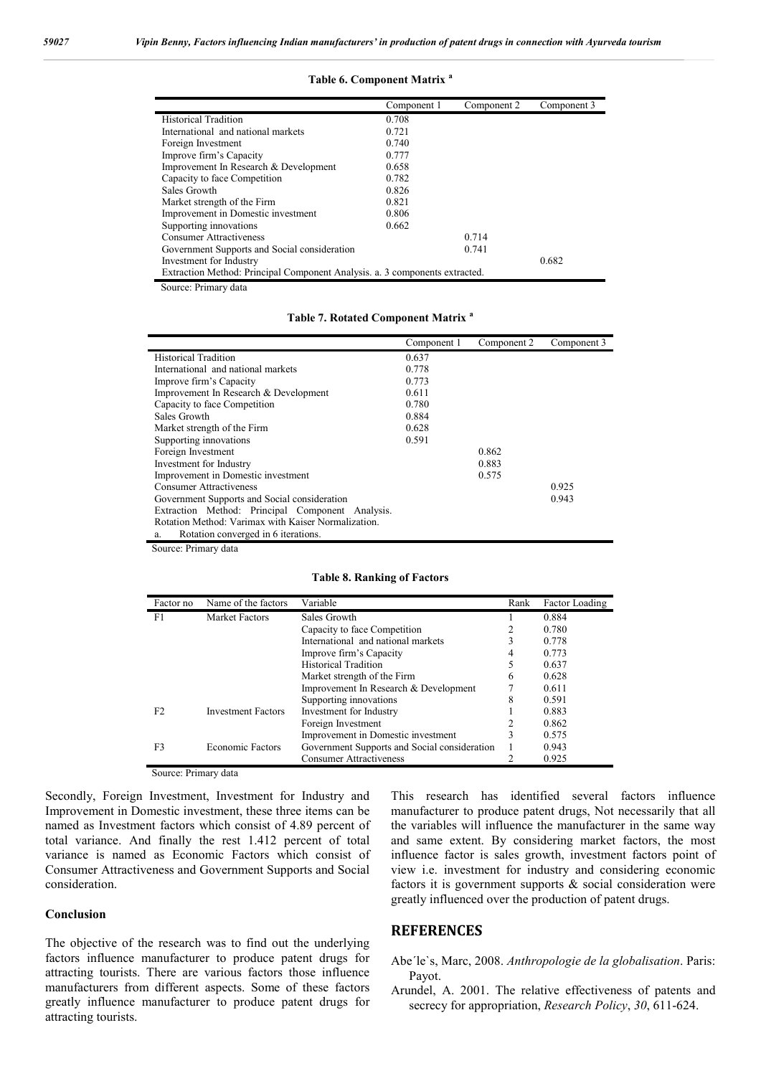|                                                                             | Component 1 | Component 2 | Component 3 |
|-----------------------------------------------------------------------------|-------------|-------------|-------------|
| <b>Historical Tradition</b>                                                 | 0.708       |             |             |
| International and national markets                                          | 0.721       |             |             |
| Foreign Investment                                                          | 0.740       |             |             |
| Improve firm's Capacity                                                     | 0.777       |             |             |
| Improvement In Research & Development                                       | 0.658       |             |             |
| Capacity to face Competition                                                | 0.782       |             |             |
| Sales Growth                                                                | 0.826       |             |             |
| Market strength of the Firm                                                 | 0.821       |             |             |
| Improvement in Domestic investment                                          | 0.806       |             |             |
| Supporting innovations                                                      | 0.662       |             |             |
| <b>Consumer Attractiveness</b>                                              |             | 0.714       |             |
| Government Supports and Social consideration                                |             | 0.741       |             |
| Investment for Industry                                                     |             |             | 0.682       |
| Extraction Method: Principal Component Analysis. a. 3 components extracted. |             |             |             |
|                                                                             |             |             |             |

**Table 6. Component Matrix <sup>a</sup>**

Source: Primary data

**Table 7. Rotated Component Matrix <sup>a</sup>**

|                                                     | Component 1 | Component 2 | Component 3 |
|-----------------------------------------------------|-------------|-------------|-------------|
| <b>Historical Tradition</b>                         | 0.637       |             |             |
| International and national markets                  | 0.778       |             |             |
| Improve firm's Capacity                             | 0.773       |             |             |
| Improvement In Research & Development               | 0.611       |             |             |
| Capacity to face Competition                        | 0.780       |             |             |
| Sales Growth                                        | 0.884       |             |             |
| Market strength of the Firm                         | 0.628       |             |             |
| Supporting innovations                              | 0.591       |             |             |
| Foreign Investment                                  |             | 0.862       |             |
| Investment for Industry                             |             | 0.883       |             |
| Improvement in Domestic investment                  |             | 0.575       |             |
| <b>Consumer Attractiveness</b>                      |             |             | 0.925       |
| Government Supports and Social consideration        |             |             | 0.943       |
| Extraction Method: Principal Component Analysis.    |             |             |             |
| Rotation Method: Varimax with Kaiser Normalization. |             |             |             |
| Rotation converged in 6 iterations.<br>a.           |             |             |             |

Source: Primary data

**Table 8. Ranking of Factors**

| Factor no      | Name of the factors       | Variable                                     | Rank | Factor Loading |
|----------------|---------------------------|----------------------------------------------|------|----------------|
| F1             | <b>Market Factors</b>     | Sales Growth                                 |      | 0.884          |
|                |                           | Capacity to face Competition                 | 2    | 0.780          |
|                |                           | International and national markets           |      | 0.778          |
|                |                           | Improve firm's Capacity                      | 4    | 0.773          |
|                |                           | <b>Historical Tradition</b>                  | 5    | 0.637          |
|                |                           | Market strength of the Firm                  | 6    | 0.628          |
|                |                           | Improvement In Research & Development        |      | 0.611          |
|                |                           | Supporting innovations                       | 8    | 0.591          |
| F <sub>2</sub> | <b>Investment Factors</b> | Investment for Industry                      |      | 0.883          |
|                |                           | Foreign Investment                           | 2    | 0.862          |
|                |                           | Improvement in Domestic investment           | 3    | 0.575          |
| F <sub>3</sub> | Economic Factors          | Government Supports and Social consideration |      | 0.943          |
|                |                           | <b>Consumer Attractiveness</b>               |      | 0.925          |
|                |                           |                                              |      |                |

Source: Primary data

Secondly, Foreign Investment, Investment for Industry and Improvement in Domestic investment, these three items can be named as Investment factors which consist of 4.89 percent of total variance. And finally the rest 1.412 percent of total variance is named as Economic Factors which consist of Consumer Attractiveness and Government Supports and Social consideration.

### **Conclusion**

The objective of the research was to find out the underlying factors influence manufacturer to produce patent drugs for attracting tourists. There are various factors those influence manufacturers from different aspects. Some of these factors greatly influence manufacturer to produce patent drugs for attracting tourists.

This research has identified several factors influence manufacturer to produce patent drugs, Not necessarily that all the variables will influence the manufacturer in the same way and same extent. By considering market factors, the most influence factor is sales growth, investment factors point of view i.e. investment for industry and considering economic factors it is government supports & social consideration were greatly influenced over the production of patent drugs.

## **REFERENCES**

#### Abe´le`s, Marc, 2008. *Anthropologie de la globalisation*. Paris: Payot.

Arundel, A. 2001. The relative effectiveness of patents and secrecy for appropriation, *Research Policy*, *30*, 611-624.